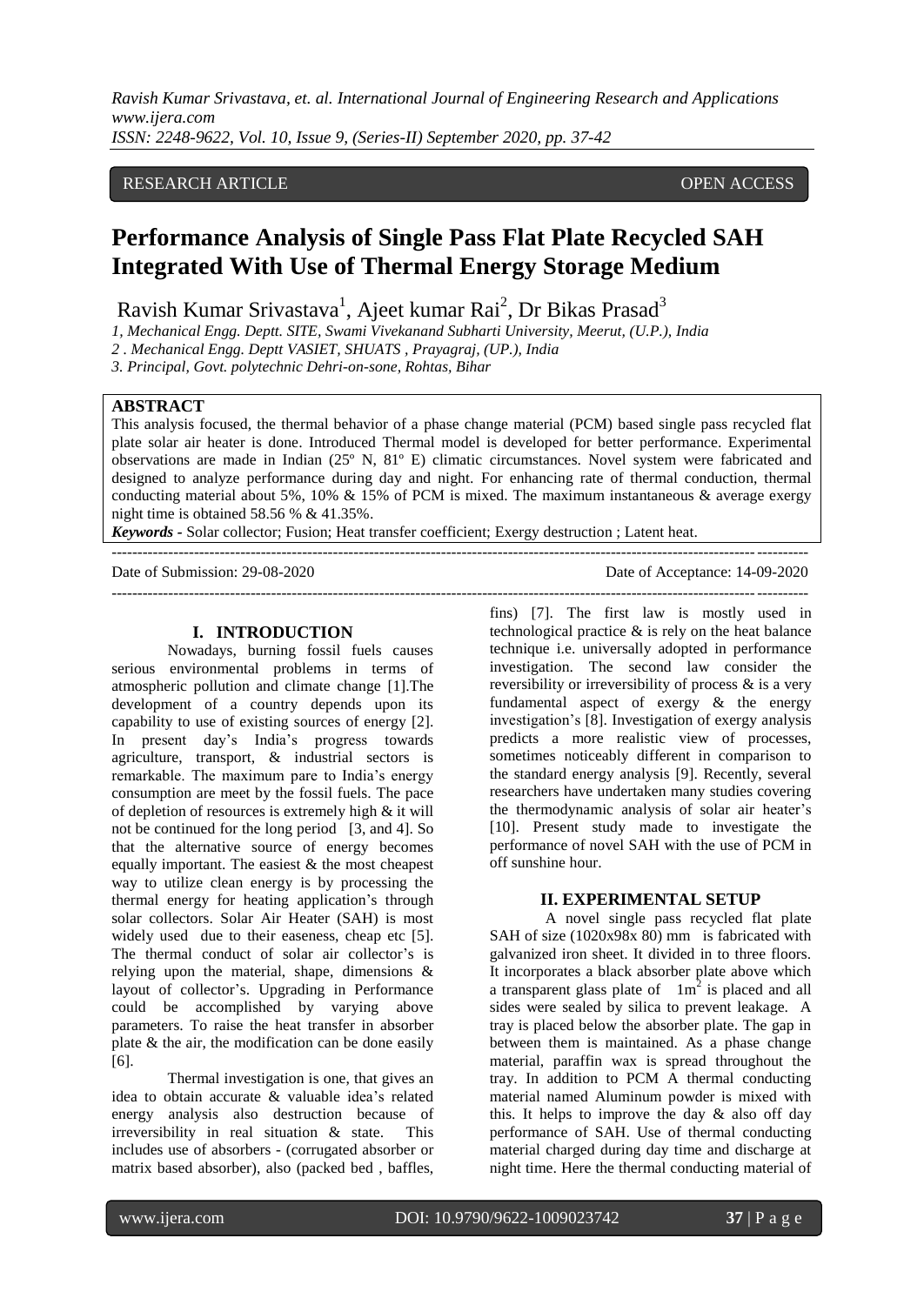*Ravish Kumar Srivastava, et. al. International Journal of Engineering Research and Applications www.ijera.com ISSN: 2248-9622, Vol. 10, Issue 9, (Series-II) September 2020, pp. 37-42*

#### RESEARCH ARTICLE **CONSERVERS** OPEN ACCESS

# **Performance Analysis of Single Pass Flat Plate Recycled SAH Integrated With Use of Thermal Energy Storage Medium**

Ravish Kumar Srivastava<sup>1</sup>, Ajeet kumar Rai<sup>2</sup>, Dr Bikas Prasad<sup>3</sup>

*1, Mechanical Engg. Deptt. SITE, Swami Vivekanand Subharti University, Meerut, (U.P.), India*

*2 . Mechanical Engg. Deptt VASIET, SHUATS , Prayagraj, (UP.), India*

*3. Principal, Govt. polytechnic Dehri-on-sone, Rohtas, Bihar*

#### **ABSTRACT**

This analysis focused, the thermal behavior of a phase change material (PCM) based single pass recycled flat plate solar air heater is done. Introduced Thermal model is developed for better performance. Experimental observations are made in Indian (25º N, 81º E) climatic circumstances. Novel system were fabricated and designed to analyze performance during day and night. For enhancing rate of thermal conduction, thermal conducting material about 5%, 10%  $& 15\%$  of PCM is mixed. The maximum instantaneous  $&$  average exergy night time is obtained 58.56 % & 41.35%.

---------------------------------------------------------------------------------------------------------------------------------------

---------------------------------------------------------------------------------------------------------------------------------------

*Keywords -* Solar collector; Fusion; Heat transfer coefficient; Exergy destruction ; Latent heat.

Date of Submission: 29-08-2020 Date of Acceptance: 14-09-2020

#### **I. INTRODUCTION**

Nowadays, burning fossil fuels causes serious environmental problems in terms of atmospheric pollution and climate change [1].The development of a country depends upon its capability to use of existing sources of energy [2]. In present day's India's progress towards agriculture, transport, & industrial sectors is remarkable. The maximum pare to India's energy consumption are meet by the fossil fuels. The pace of depletion of resources is extremely high & it will not be continued for the long period [3, and 4]. So that the alternative source of energy becomes equally important. The easiest & the most cheapest way to utilize clean energy is by processing the thermal energy for heating application's through solar collectors. Solar Air Heater (SAH) is most widely used due to their easeness, cheap etc [5]. The thermal conduct of solar air collector's is relying upon the material, shape, dimensions & layout of collector's. Upgrading in Performance could be accomplished by varying above parameters. To raise the heat transfer in absorber plate & the air, the modification can be done easily [6].

Thermal investigation is one, that gives an idea to obtain accurate & valuable idea's related energy analysis also destruction because of irreversibility in real situation & state. This includes use of absorbers - (corrugated absorber or matrix based absorber), also (packed bed , baffles,

fins) [7]. The first law is mostly used in technological practice  $\&$  is rely on the heat balance technique i.e. universally adopted in performance investigation. The second law consider the reversibility or irreversibility of process & is a very fundamental aspect of exergy & the energy investigation's [8]. Investigation of exergy analysis predicts a more realistic view of processes, sometimes noticeably different in comparison to the standard energy analysis [9]. Recently, several researchers have undertaken many studies covering the thermodynamic analysis of solar air heater's [10]. Present study made to investigate the performance of novel SAH with the use of PCM in off sunshine hour.

#### **II. EXPERIMENTAL SETUP**

A novel single pass recycled flat plate SAH of size (1020x98x 80) mm is fabricated with galvanized iron sheet. It divided in to three floors. It incorporates a black absorber plate above which a transparent glass plate of  $1m^2$  is placed and all sides were sealed by silica to prevent leakage. A tray is placed below the absorber plate. The gap in between them is maintained. As a phase change material, paraffin wax is spread throughout the tray. In addition to PCM A thermal conducting material named Aluminum powder is mixed with this. It helps to improve the day & also off day performance of SAH. Use of thermal conducting material charged during day time and discharge at night time. Here the thermal conducting material of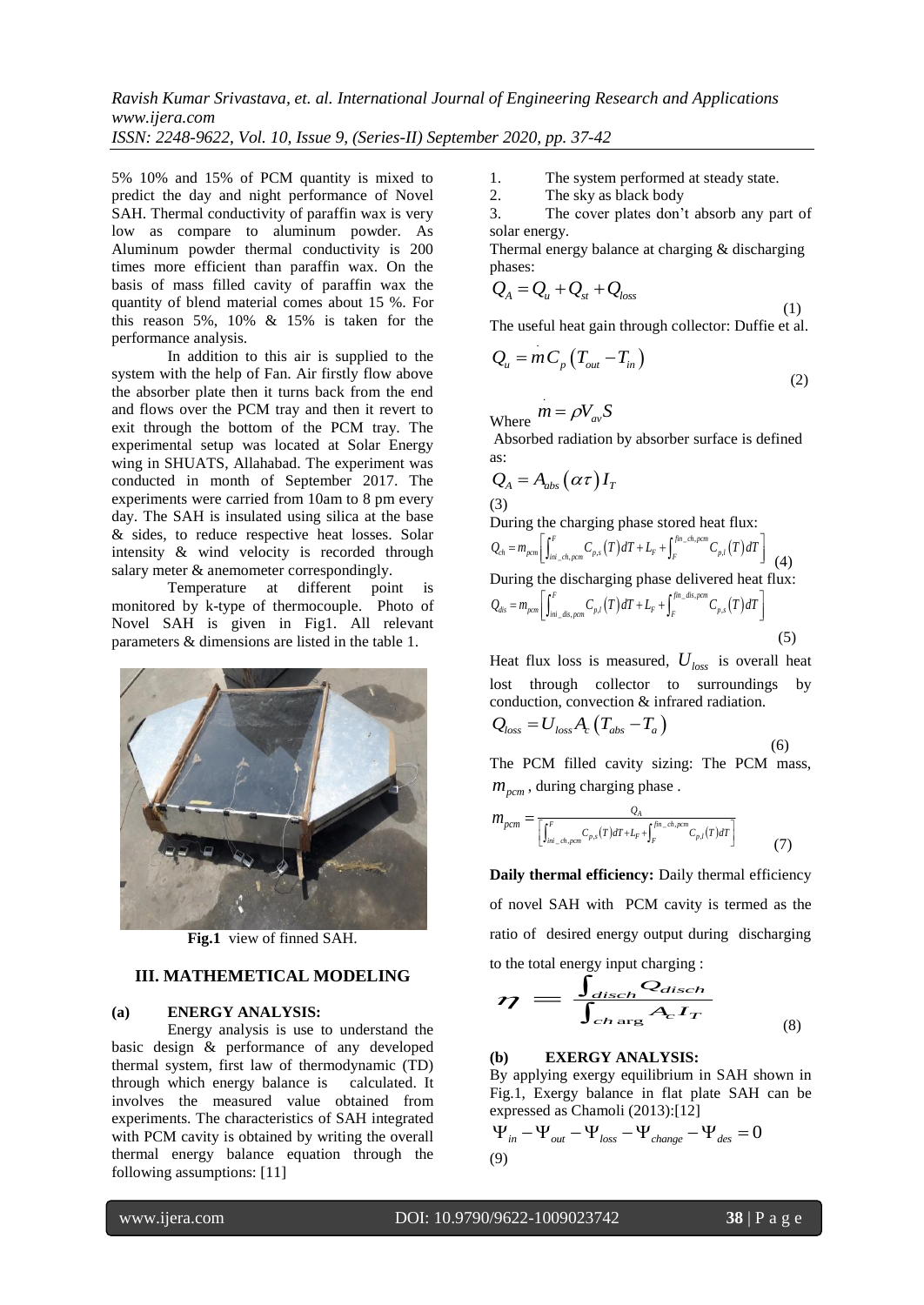*Ravish Kumar Srivastava, et. al. International Journal of Engineering Research and Applications www.ijera.com ISSN: 2248-9622, Vol. 10, Issue 9, (Series-II) September 2020, pp. 37-42*

5% 10% and 15% of PCM quantity is mixed to predict the day and night performance of Novel SAH. Thermal conductivity of paraffin wax is very low as compare to aluminum powder. As Aluminum powder thermal conductivity is 200 times more efficient than paraffin wax. On the basis of mass filled cavity of paraffin wax the quantity of blend material comes about 15 %. For this reason 5%, 10% & 15% is taken for the performance analysis.

In addition to this air is supplied to the system with the help of Fan. Air firstly flow above the absorber plate then it turns back from the end and flows over the PCM tray and then it revert to exit through the bottom of the PCM tray. The experimental setup was located at Solar Energy wing in SHUATS, Allahabad. The experiment was conducted in month of September 2017. The experiments were carried from 10am to 8 pm every day. The SAH is insulated using silica at the base & sides, to reduce respective heat losses. Solar intensity & wind velocity is recorded through salary meter  $\&$  anemometer correspondingly.

Temperature at different point is monitored by k-type of thermocouple. Photo of Novel SAH is given in Fig1. All relevant parameters & dimensions are listed in the table 1.



**Fig.1** view of finned SAH.

### **III. MATHEMETICAL MODELING**

#### **(a) ENERGY ANALYSIS:**

Energy analysis is use to understand the basic design & performance of any developed thermal system, first law of thermodynamic (TD) through which energy balance is calculated. It involves the measured value obtained from experiments. The characteristics of SAH integrated with PCM cavity is obtained by writing the overall thermal energy balance equation through the following assumptions: [11]

1. The system performed at steady state.

2. The sky as black body

3. The cover plates don't absorb any part of solar energy.

Thermal energy balance at charging & discharging phases:

$$
Q_A = Q_u + Q_{st} + Q_{loss}
$$
 (1)

The useful heat gain through collector: Duffie et al.

$$
Q_u = m C_p \left( T_{out} - T_{in} \right) \tag{2}
$$

Where  $\dot{m} = \rho V_{av} S$ 

 Absorbed radiation by absorber surface is defined as:

$$
Q_{A} = A_{abs} (\alpha \tau) I_{T}
$$
\n(3)

During the charging phase stored heat flux:<br> $Q = m \left[ \int_0^F G(x) dx + \int_0^{\int m_c \, dr \, \rho cm} G(x) dx \right]$ 

(3)  
\nDuring the charging phase stored heat flux:  
\n
$$
Q_{ch} = m_{perm} \left[ \int_{\text{ini}_{ch,Form}}^{F} C_{p,s}(T) dT + L_{F} + \int_{F}^{\text{fin}_{ch,Form}} C_{p,l}(T) dT \right]
$$
\n(4)  
\nDuring the discharging phase delivered heat flux:  
\n
$$
Q_{dis} = m_{perm} \left[ \int_{\text{ini}_{edis,perm}}^{F} C_{p,l}(T) dT + L_{F} + \int_{F}^{\text{fin}_{edis,perm}} C_{p,s}(T) dT \right]
$$
\n(5)

Heat flux loss is measured, *Uloss* is overall heat lost through collector to surroundings by conduction, convection & infrared radiation.  $Q_i = U_i$  *A*  $(T_i - T)$ 

$$
Z_{loss} - U_{loss} A_c (I_{abs} - I_a)
$$
\n
$$
\tag{6}
$$

The PCM filled cavity sizing: The PCM mass, *mpcm* , during charging phase .

$$
m_{pcm} = \frac{Q_A}{\left[\int_{\text{ini}\_{\text{ch},\text{pcm}}}^{F} C_{p,s}(T)dT + L_F + \int_{F}^{\text{fin}\_{\text{ch},\text{pcm}}} C_{p,l}(T)dT\right]}
$$
(7)

**Daily thermal efficiency:** Daily thermal efficiency of novel SAH with PCM cavity is termed as the ratio of desired energy output during discharging

to the total energy input charging :  
\n
$$
\eta = \frac{\int_{disch} Q_{disch}}{\int_{ch arg} A_c I_T}
$$
\n(8)

#### **(b) EXERGY ANALYSIS:**

By applying exergy equilibrium in SAH shown in Fig.1, Exergy balance in flat plate SAH can be

expressed as Chamoli (2013):[12]  
\n
$$
\Psi_{in} - \Psi_{out} - \Psi_{loss} - \Psi_{change} - \Psi_{des} = 0
$$
\n(9)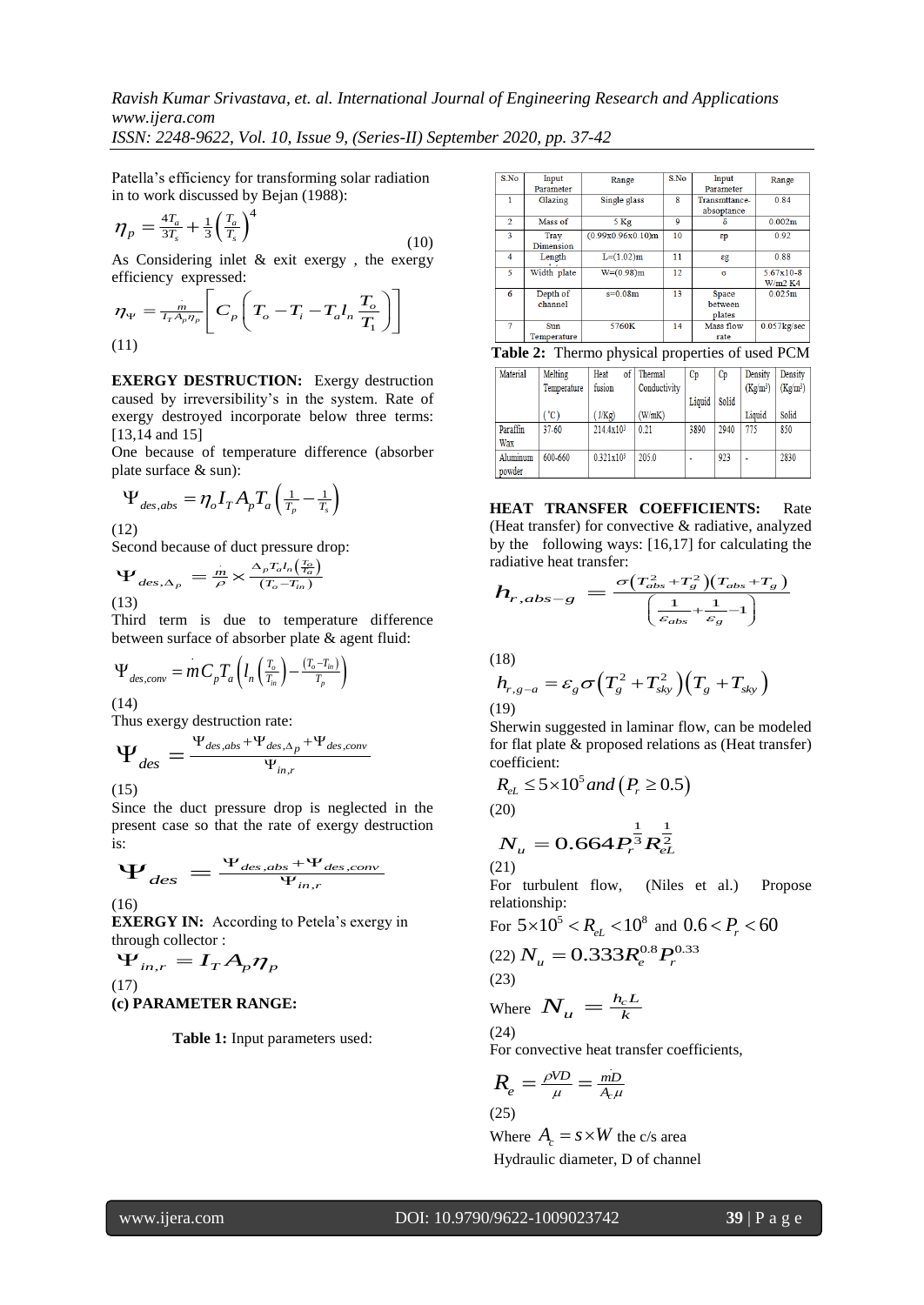*ISSN: 2248-9622, Vol. 10, Issue 9, (Series-II) September 2020, pp. 37-42*

Patella's efficiency for transforming solar radiation in to work discussed by Bejan (1988):

$$
\eta_p = \frac{4T_a}{3T_s} + \frac{1}{3} \left(\frac{T_a}{T_s}\right)^4 \tag{10}
$$

As Considering inlet & exit exergy , the exergy efficiency expressed:

efficiency expressed:  
\n
$$
\eta_{\Psi} = \frac{n}{T_r A_p \eta_p} \left[ C_p \left( T_o - T_i - T_a I_n \frac{T_o}{T_1} \right) \right]
$$
\n(11)

**EXERGY DESTRUCTION:** Exergy destruction caused by irreversibility's in the system. Rate of exergy destroyed incorporate below three terms: [13,14 and 15]

One because of temperature difference (absorber plate surface & sun):

$$
\Psi_{des,abs} = \eta_o I_T A_p T_a \left(\frac{1}{T_p} - \frac{1}{T_s}\right)
$$

(12)

Second because of duct pressure drop:

$$
\Psi_{des, \Delta_p} = \frac{m}{\rho} \times \frac{\Delta_p T_a I_n \left(\frac{T_o}{T_a}\right)}{\left(T_o - T_{in}\right)}
$$
\n(13)

Third term is due to temperature difference between surface of absorber plate & agent fluid:

$$
\Psi_{des,conv} = m C_p T_a \left( l_n \left( \frac{T_o}{T_{in}} \right) - \frac{(T_o - T_{in})}{T_p} \right)
$$

(14)

Thus exergy destruction rate:  
\n
$$
\Psi_{des} = \frac{\Psi_{des,abs} + \Psi_{des,\Delta_p} + \Psi_{des,conv}}{\Psi_{in,r}}
$$

(15)

Since the duct pressure drop is neglected in the present case so that the rate of exergy destruction is:

s:  

$$
\Psi_{des} = \frac{\Psi_{des,abs} + \Psi_{des,conv}}{\Psi_{in,r}}
$$

(16)

**EXERGY IN:** According to Petela's exergy in

through collector :  
\n
$$
\Psi_{in,r} = I_T A_p \eta_p
$$
\n(17)  
\n(a) **BAMETED BANG**

## **(c) PARAMETER RANGE:**

**Table 1:** Input parameters used:

| S <sub>No</sub> | Input<br>Parameter       | Range             | S.No | Input<br>Parameter                | Range                             |
|-----------------|--------------------------|-------------------|------|-----------------------------------|-----------------------------------|
|                 | Glazing                  | Single glass      | 8    | Transmttance-<br>absoptance       | 0.84                              |
| $\overline{2}$  | Mass of                  | 5 <sub>Kg</sub>   | 9    | δ                                 | 0.002m                            |
| 3               | <b>Tray</b><br>Dimension | (0.99x0.96x0.10)m | 10   | $\varepsilon$ p                   | 0.92                              |
| 4               | Length                   | $L=(1.02)m$       | 11   | $\epsilon$ g                      | 0.88                              |
| 5               | Width plate              | $W=(0.98)m$       | 12.  | σ                                 | $5.67 \times 10 - 8$<br>$W/m2$ K4 |
| 6               | Depth of<br>channel      | $s=0.08m$         | 13   | <b>Space</b><br>between<br>plates | 0.025m                            |
| 7               | Sun<br>Temperature       | 5760K             | 14   | Mass flow<br>rate                 | $0.057$ $kg/sec$                  |

**Table 2:** Thermo physical properties of used PCM

| Material | Melting     | of <sub>1</sub><br>Heat | Thermal      | $C_{D}$ | Cp    | Density    | Density    |
|----------|-------------|-------------------------|--------------|---------|-------|------------|------------|
|          | Temperature | fusion                  | Conductivity |         |       | $(Kg/m^3)$ | $(Kg/m^3)$ |
|          |             |                         |              | Liquid  | Solid |            |            |
|          | "C)         | (J/Kg)                  | (W/mK)       |         |       | Liquid     | Solid      |
| Paraffin | $37 - 60$   | 214.4x10 <sup>3</sup>   | 0.21         | 3890    | 2940  | 775        | 850        |
| Wax      |             |                         |              |         |       |            |            |
| Aluminum | 600-660     | 0.321x10 <sup>3</sup>   | 205.0        | ٠       | 923   |            | 2830       |
| powder   |             |                         |              |         |       |            |            |

**HEAT TRANSFER COEFFICIENTS:** Rate (Heat transfer) for convective & radiative, analyzed by the following ways: [16,17] for calculating the radiative heat transfer:

$$
h_{r,abs-g} = \frac{\sigma (T_{abs}^2 + T_s^2)(T_{abs} + T_g)}{\left(\frac{1}{\varepsilon_{abs}} + \frac{1}{\varepsilon_g} - 1\right)}
$$

(18)

(18)  
\n
$$
h_{r,g-a} = \varepsilon_g \sigma \Big( T_g^2 + T_{sky}^2 \Big) \Big( T_g + T_{sky} \Big)
$$
\n(19)

Sherwin suggested in laminar flow, can be modeled for flat plate & proposed relations as (Heat transfer) coefficient:

coenicient:  
\n
$$
R_{eL} \le 5 \times 10^5
$$
 and  $(P_r \ge 0.5)$ 

(20)

$$
N_{u} = 0.664 P_{r}^{\frac{1}{3}} R_{eL}^{\frac{1}{2}}
$$
\n(21)

For turbulent flow, (Niles et al.) Propose relationship:

For 
$$
5 \times 10^5 < R_{eL} < 10^8
$$
 and  $0.6 < P_r < 60$ 

$$
P_{u}^{(22)}N_{u}=0.333R_{e}^{0.8}P_{r}^{0.33}
$$

(23)

Where 
$$
N_u = \frac{h_c L}{k}
$$
 (24)

For convective heat transfer coefficients,

$$
R_e = \frac{\rho V D}{\mu} = \frac{m D}{A_c \mu}
$$

Where  $A_c = s \times W$  the c/s area Hydraulic diameter, D of channel

(25)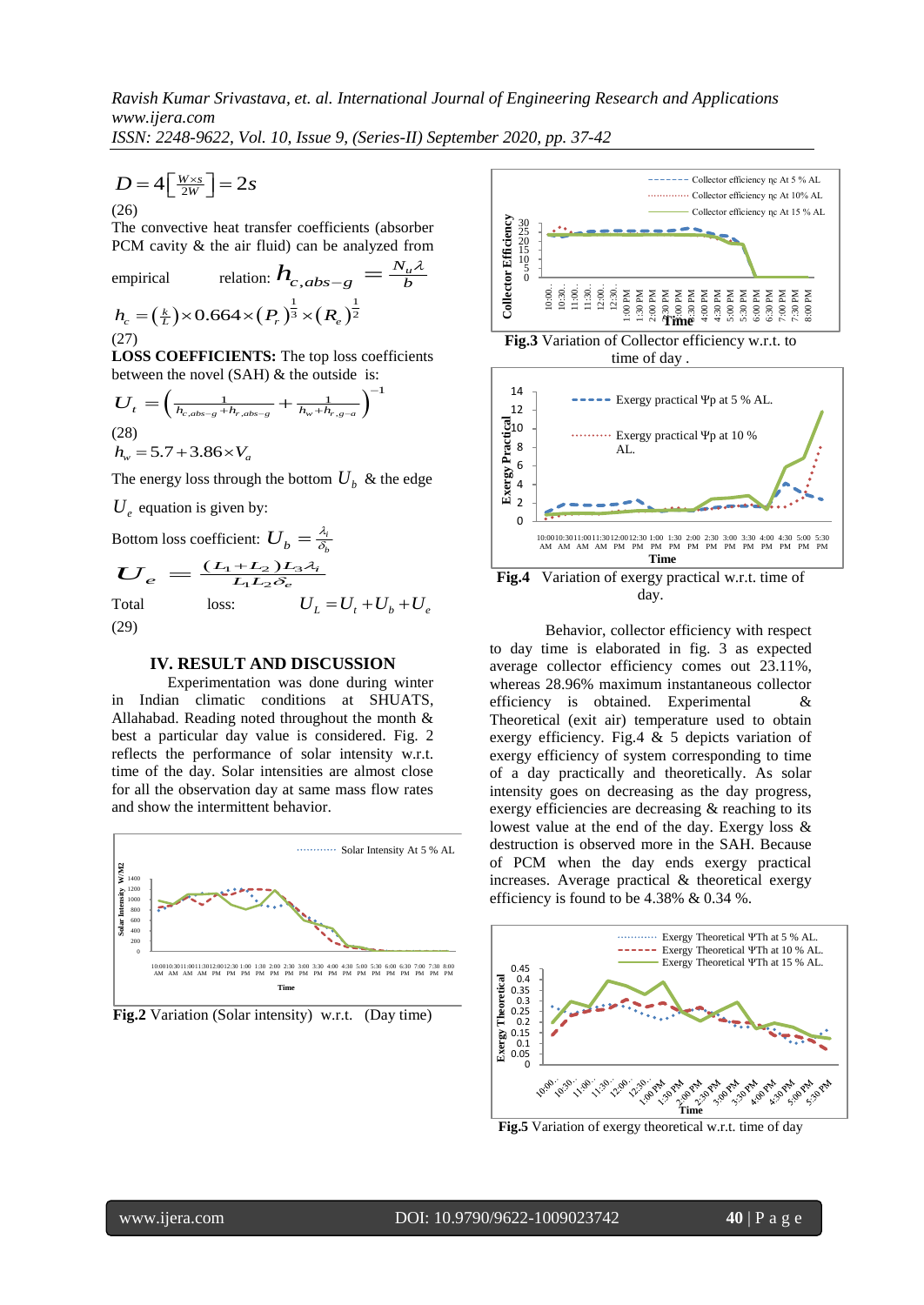λ

*ISSN: 2248-9622, Vol. 10, Issue 9, (Series-II) September 2020, pp. 37-42*

$$
D = 4\left[\frac{W \times s}{2W}\right] = 2s
$$
\n(26)

The convective heat transfer coefficients (absorber PCM cavity & the air fluid) can be analyzed from

empirical relation: 
$$
\boldsymbol{h}_{c,abs-g} = \frac{N_u}{b}
$$
  
\n $h_c = (\frac{k}{L}) \times 0.664 \times (P_r)^{\frac{1}{3}} \times (R_e)^{\frac{1}{2}}$   
\n(27)

**LOSS COEFFICIENTS:** The top loss coefficients

between the novel (SAH) & the outside is:  
\n
$$
U_t = \left(\frac{1}{h_{c,abs-g} + h_{r,abs-g}} + \frac{1}{h_w + h_{r,g-a}}\right)^{-1}
$$
\n(28)  
\n
$$
h_w = 5.7 + 3.86 \times V_a
$$

The energy loss through the bottom  $U_b$  & the edge

 $U_e$  equation is given by:

Bottom loss coefficient:  $U_h = \frac{\lambda_i}{\delta}$  $U_{\overline{b}} = \frac{\lambda_i}{\delta_b}$ 

$$
U_e = \frac{(L_1 + L_2) L_3 \lambda_i}{L_1 L_2 \delta_e}
$$
  
Total loss: 
$$
U_L = U_t + U_b + U_e
$$
  
(29)

#### **IV. RESULT AND DISCUSSION**

Experimentation was done during winter in Indian climatic conditions at SHUATS, Allahabad. Reading noted throughout the month & best a particular day value is considered. Fig. 2 reflects the performance of solar intensity w.r.t. time of the day. Solar intensities are almost close for all the observation day at same mass flow rates and show the intermittent behavior.



**Fig.2** Variation (Solar intensity) w.r.t. (Day time)



**Fig.3** Variation of Collector efficiency w.r.t. to time of day .



Behavior, collector efficiency with respect to day time is elaborated in fig. 3 as expected average collector efficiency comes out 23.11%, whereas 28.96% maximum instantaneous collector efficiency is obtained. Experimental & Theoretical (exit air) temperature used to obtain exergy efficiency. Fig.4 & 5 depicts variation of exergy efficiency of system corresponding to time of a day practically and theoretically. As solar intensity goes on decreasing as the day progress, exergy efficiencies are decreasing & reaching to its lowest value at the end of the day. Exergy loss & destruction is observed more in the SAH. Because of PCM when the day ends exergy practical increases. Average practical & theoretical exergy efficiency is found to be 4.38% & 0.34 %.



**Fig.5** Variation of exergy theoretical w.r.t. time of day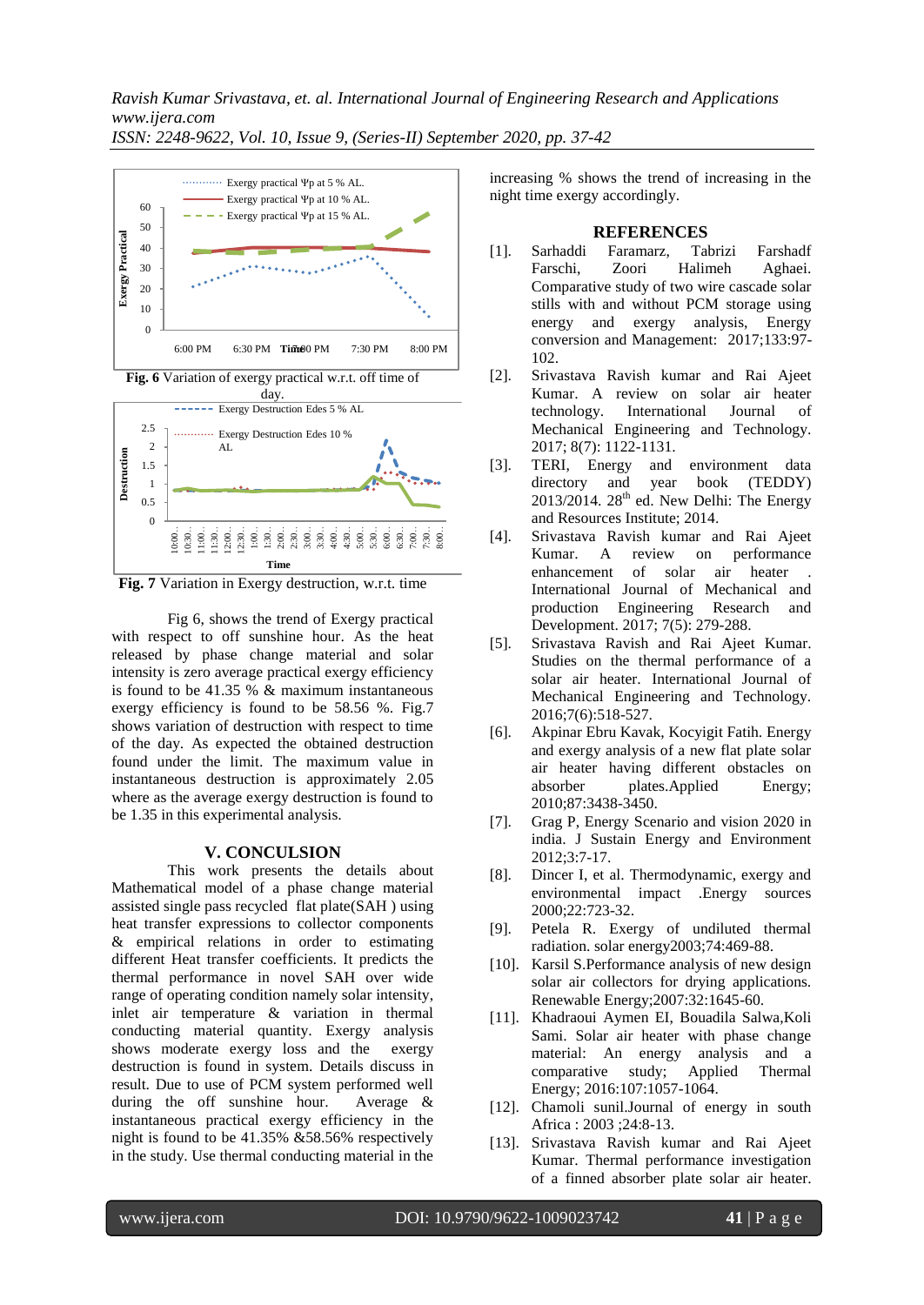*ISSN: 2248-9622, Vol. 10, Issue 9, (Series-II) September 2020, pp. 37-42*



**Fig. 7** Variation in Exergy destruction, w.r.t. time

Fig 6, shows the trend of Exergy practical with respect to off sunshine hour. As the heat released by phase change material and solar intensity is zero average practical exergy efficiency is found to be 41.35 % & maximum instantaneous exergy efficiency is found to be 58.56 %. Fig.7 shows variation of destruction with respect to time of the day. As expected the obtained destruction found under the limit. The maximum value in instantaneous destruction is approximately 2.05 where as the average exergy destruction is found to be 1.35 in this experimental analysis.

#### **V. CONCULSION**

This work presents the details about Mathematical model of a phase change material assisted single pass recycled flat plate(SAH ) using heat transfer expressions to collector components & empirical relations in order to estimating different Heat transfer coefficients. It predicts the thermal performance in novel SAH over wide range of operating condition namely solar intensity, inlet air temperature & variation in thermal conducting material quantity. Exergy analysis shows moderate exergy loss and the exergy destruction is found in system. Details discuss in result. Due to use of PCM system performed well during the off sunshine hour. Average & instantaneous practical exergy efficiency in the night is found to be 41.35% &58.56% respectively in the study. Use thermal conducting material in the

increasing % shows the trend of increasing in the night time exergy accordingly.

#### **REFERENCES**

- [1]. Sarhaddi Faramarz, Tabrizi Farshadf Farschi, Zoori Halimeh Aghaei. Comparative study of two wire cascade solar stills with and without PCM storage using energy and exergy analysis, Energy conversion and Management: 2017;133:97- 102.
- [2]. Srivastava Ravish kumar and Rai Ajeet Kumar. A review on solar air heater technology. International Journal of Mechanical Engineering and Technology. 2017; 8(7): 1122-1131.
- [3]. TERI, Energy and environment data directory and year book (TEDDY)  $2013/2014$ .  $28<sup>th</sup>$  ed. New Delhi: The Energy and Resources Institute; 2014.
- [4]. Srivastava Ravish kumar and Rai Ajeet Kumar. A review on performance enhancement of solar air heater International Journal of Mechanical and production Engineering Research and Development. 2017; 7(5): 279-288.
- [5]. Srivastava Ravish and Rai Ajeet Kumar. Studies on the thermal performance of a solar air heater. International Journal of Mechanical Engineering and Technology. 2016;7(6):518-527.
- [6]. Akpinar Ebru Kavak, Kocyigit Fatih. Energy and exergy analysis of a new flat plate solar air heater having different obstacles on absorber plates.Applied Energy; 2010;87:3438-3450.
- [7]. Grag P, Energy Scenario and vision 2020 in india. J Sustain Energy and Environment 2012;3:7-17.
- [8]. Dincer I, et al. Thermodynamic, exergy and environmental impact .Energy sources 2000;22:723-32.
- [9]. Petela R. Exergy of undiluted thermal radiation. solar energy2003;74:469-88.
- [10]. Karsil S.Performance analysis of new design solar air collectors for drying applications. Renewable Energy;2007:32:1645-60.
- [11]. Khadraoui Aymen EI, Bouadila Salwa,Koli Sami. Solar air heater with phase change material: An energy analysis and a comparative study; Applied Thermal Energy; 2016:107:1057-1064.
- [12]. Chamoli sunil.Journal of energy in south Africa : 2003 ;24:8-13.
- [13]. Srivastava Ravish kumar and Rai Ajeet Kumar. Thermal performance investigation of a finned absorber plate solar air heater.